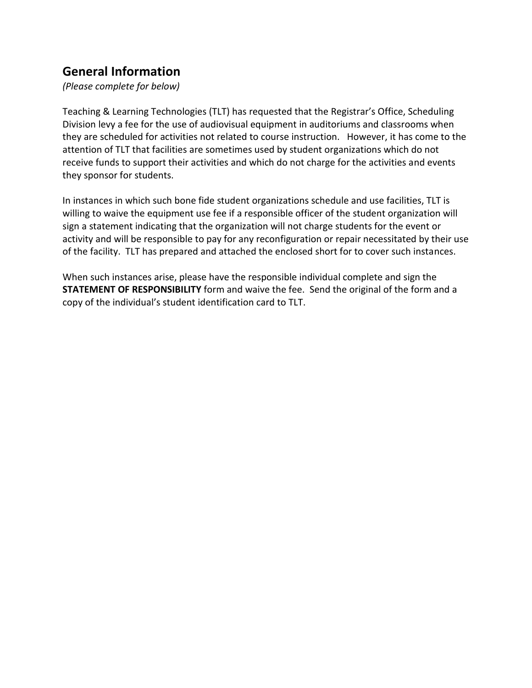## **General Information**

*(Please complete for below)*

Teaching & Learning Technologies (TLT) has requested that the Registrar's Office, Scheduling Division levy a fee for the use of audiovisual equipment in auditoriums and classrooms when they are scheduled for activities not related to course instruction. However, it has come to the attention of TLT that facilities are sometimes used by student organizations which do not receive funds to support their activities and which do not charge for the activities and events they sponsor for students.

In instances in which such bone fide student organizations schedule and use facilities, TLT is willing to waive the equipment use fee if a responsible officer of the student organization will sign a statement indicating that the organization will not charge students for the event or activity and will be responsible to pay for any reconfiguration or repair necessitated by their use of the facility. TLT has prepared and attached the enclosed short for to cover such instances.

When such instances arise, please have the responsible individual complete and sign the **STATEMENT OF RESPONSIBILITY** form and waive the fee. Send the original of the form and a copy of the individual's student identification card to TLT.